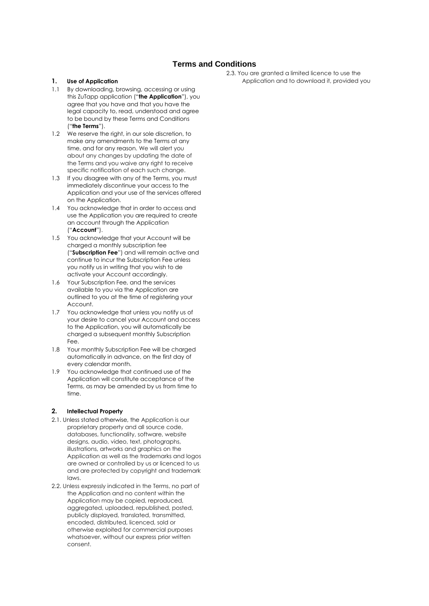# **Terms and Conditions**

## **1. Use of Application**

- 1.1 By downloading, browsing, accessing or using this ZuTapp application ("**the Application**"), you agree that you have and that you have the legal capacity to, read, understood and agree to be bound by these Terms and Conditions ("**the Terms**").
- 1.2 We reserve the right, in our sole discretion, to make any amendments to the Terms at any time, and for any reason. We will alert you about any changes by updating the date of the Terms and you waive any right to receive specific notification of each such change.
- 1.3 If you disagree with any of the Terms, you must immediately discontinue your access to the Application and your use of the services offered on the Application.
- 1.4 You acknowledge that in order to access and use the Application you are required to create an account through the Application ("**Account**").
- 1.5 You acknowledge that your Account will be charged a monthly subscription fee ("**Subscription Fee**") and will remain active and continue to incur the Subscription Fee unless you notify us in writing that you wish to de activate your Account accordingly.
- 1.6 Your Subscription Fee, and the services available to you via the Application are outlined to you at the time of registering your Account.
- 1.7 You acknowledge that unless you notify us of your desire to cancel your Account and access to the Application, you will automatically be charged a subsequent monthly Subscription Fee.
- 1.8 Your monthly Subscription Fee will be charged automatically in advance, on the first day of every calendar month.
- 1.9 You acknowledge that continued use of the Application will constitute acceptance of the Terms, as may be amended by us from time to time.

## **2. Intellectual Property**

- 2.1. Unless stated otherwise, the Application is our proprietary property and all source code, databases, functionality, software, website designs, audio, video, text, photographs, illustrations, artworks and graphics on the Application as well as the trademarks and logos are owned or controlled by us or licenced to us and are protected by copyright and trademark laws.
- 2.2. Unless expressly indicated in the Terms, no part of the Application and no content within the Application may be copied, reproduced, aggregated, uploaded, republished, posted, publicly displayed, translated, transmitted, encoded, distributed, licenced, sold or otherwise exploited for commercial purposes whatsoever, without our express prior written consent.

2.3. You are granted a limited licence to use the Application and to download it, provided you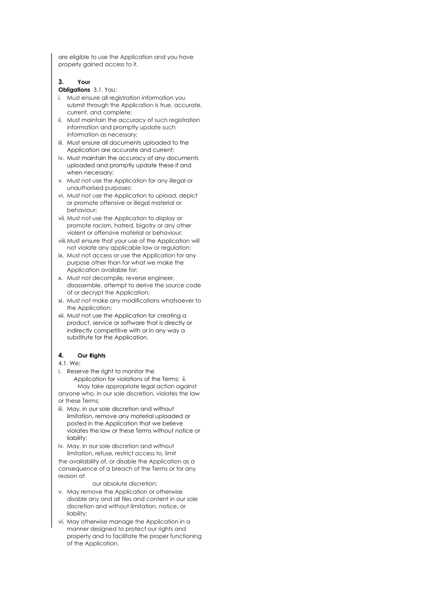are eligible to use the Application and you have properly gained access to it.

#### **3. Your**

# **Obligations** 3.1. You:

- i. Must ensure all registration information you submit through the Application is true, accurate, current, and complete;
- ii. Must maintain the accuracy of such registration information and promptly update such information as necessary;
- iii. Must ensure all documents uploaded to the Application are accurate and current;
- iv. Must maintain the accuracy of any documents uploaded and promptly update these if and when necessary;
- v. Must not use the Application for any illegal or unauthorised purposes;
- vi. Must not use the Application to upload, depict or promote offensive or illegal material or behaviour;
- vii. Must not use the Application to display or promote racism, hatred, bigotry or any other violent or offensive material or behaviour;
- viii.Must ensure that your use of the Application will not violate any applicable law or regulation;
- ix. Must not access or use the Application for any purpose other than for what we make the Application available for;
- x. Must not decompile, reverse engineer, disassemble, attempt to derive the source code of or decrypt the Application;
- xi. Must not make any modifications whatsoever to the Application;
- xii. Must not use the Application for creating a product, service or software that is directly or indirectly competitive with or in any way a substitute for the Application.

## **4. Our Rights**

#### 4.1. We:

- i. Reserve the right to monitor the Application for violations of the Terms; ii. May take appropriate legal action against anyone who, in our sole discretion, violates the law or these Terms;
- iii. May, in our sole discretion and without limitation, remove any material uploaded or posted in the Application that we believe violates the law or these Terms without notice or liability;
- iv. May, in our sole discretion and without limitation, refuse, restrict access to, limit

the availability of, or disable the Application as a consequence of a breach of the Terms or for any reason at

- our absolute discretion;
- v. May remove the Application or otherwise disable any and all files and content in our sole discretion and without limitation, notice, or liability;
- vi. May otherwise manage the Application in a manner designed to protect our rights and property and to facilitate the proper functioning of the Application.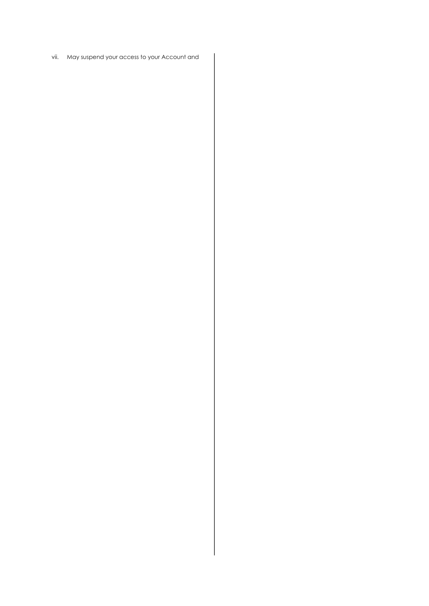vii. May suspend your access to your Account and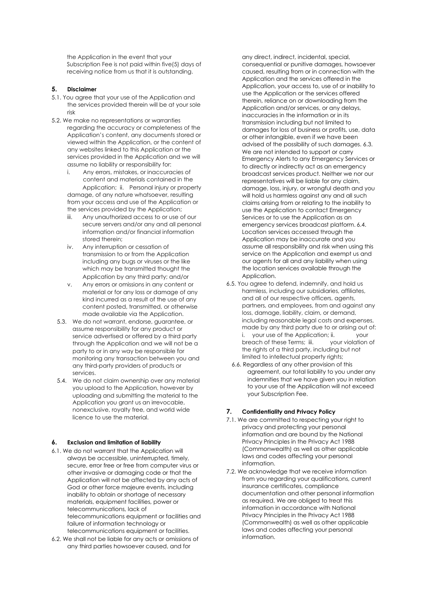the Application in the event that your Subscription Fee is not paid within five(5) days of receiving notice from us that it is outstanding.

# **5. Disclaimer**

- 5.1. You agree that your use of the Application and the services provided therein will be at your sole risk
- 5.2. We make no representations or warranties regarding the accuracy or completeness of the Application's content, any documents stored or viewed within the Application, or the content of any websites linked to this Application or the services provided in the Application and we will assume no liability or responsibility for:
	- i. Any errors, mistakes, or inaccuracies of content and materials contained in the Application; ii. Personal injury or property damage, of any nature whatsoever, resulting from your access and use of the Application or the services provided by the Application;
	- iii. Any unauthorized access to or use of our secure servers and/or any and all personal information and/or financial information stored therein;
	- iv. Any interruption or cessation of transmission to or from the Application including any bugs or viruses or the like which may be transmitted thought the Application by any third party; and/or
	- v. Any errors or omissions in any content or material or for any loss or damage of any kind incurred as a result of the use of any content posted, transmitted, or otherwise made available via the Application.
	- 5.3. We do not warrant, endorse, guarantee, or assume responsibility for any product or service advertised or offered by a third party through the Application and we will not be a party to or in any way be responsible for monitoring any transaction between you and any third-party providers of products or services.
	- 5.4. We do not claim ownership over any material you upload to the Application, however by uploading and submitting the material to the Application you grant us an irrevocable, nonexclusive, royalty free, and world wide licence to use the material.

## **6. Exclusion and limitation of liability**

- 6.1. We do not warrant that the Application will always be accessible, uninterrupted, timely, secure, error free or free from computer virus or other invasive or damaging code or that the Application will not be affected by any acts of God or other force majeure events, including inability to obtain or shortage of necessary materials, equipment facilities, power or telecommunications, lack of telecommunications equipment or facilities and failure of information technology or telecommunications equipment or facilities.
- 6.2. We shall not be liable for any acts or omissions of any third parties howsoever caused, and for

any direct, indirect, incidental, special, consequential or punitive damages, howsoever caused, resulting from or in connection with the Application and the services offered in the Application, your access to, use of or inability to use the Application or the services offered therein, reliance on or downloading from the Application and/or services, or any delays, inaccuracies in the information or in its transmission including but not limited to damages for loss of business or profits, use, data or other intangible, even if we have been advised of the possibility of such damages. 6.3. We are not intended to support or carry Emergency Alerts to any Emergency Services or to directly or indirectly act as an emergency broadcast services product. Neither we nor our representatives will be liable for any claim, damage, loss, injury, or wrongful death and you will hold us harmless against any and all such claims arising from or relating to the inability to use the Application to contact Emergency Services or to use the Application as an emergency services broadcast platform. 6.4. Location services accessed through the Application may be inaccurate and you assume all responsibility and risk when using this service on the Application and exempt us and our agents for all and any liability when using the location services available through the Application.

- 6.5. You agree to defend, indemnify, and hold us harmless, including our subsidiaries, affiliates, and all of our respective officers, agents, partners, and employees, from and against any loss, damage, liability, claim, or demand, including reasonable legal costs and expenses, made by any third party due to or arising out of: i. your use of the Application; ii. your breach of these Terms; iii. your violation of the rights of a third party, including but not limited to intellectual property rights;
	- 6.6. Regardless of any other provision of this agreement, our total liability to you under any indemnities that we have given you in relation to your use of the Application will not exceed your Subscription Fee.

# **7. Confidentiality and Privacy Policy**

- 7.1. We are committed to respecting your right to privacy and protecting your personal information and are bound by the National Privacy Principles in the Privacy Act 1988 (Commonwealth) as well as other applicable laws and codes affecting your personal information.
- 7.2. We acknowledge that we receive information from you regarding your qualifications, current insurance certificates, compliance documentation and other personal information as required. We are obliged to treat this information in accordance with National Privacy Principles in the Privacy Act 1988 (Commonwealth) as well as other applicable laws and codes affecting your personal information.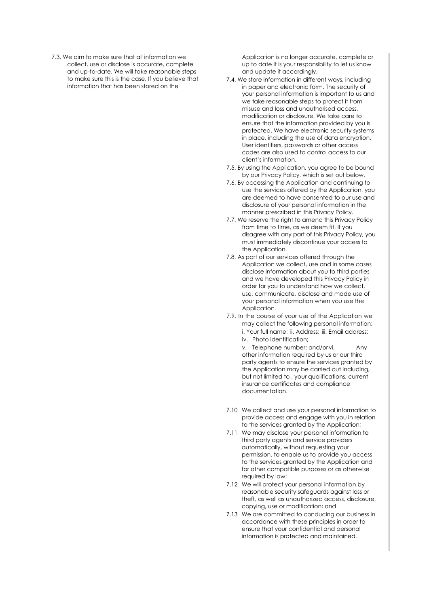7.3. We aim to make sure that all information we collect, use or disclose is accurate, complete and up-to-date. We will take reasonable steps to make sure this is the case. If you believe that information that has been stored on the

Application is no longer accurate, complete or up to date it is your responsibility to let us know and update it accordingly.

- 7.4. We store information in different ways, including in paper and electronic form. The security of your personal information is important to us and we take reasonable steps to protect it from misuse and loss and unauthorised access, modification or disclosure. We take care to ensure that the information provided by you is protected. We have electronic security systems in place, including the use of data encryption. User identifiers, passwords or other access codes are also used to control access to our client's information.
- 7.5. By using the Application, you agree to be bound by our Privacy Policy, which is set out below.
- 7.6. By accessing the Application and continuing to use the services offered by the Application, you are deemed to have consented to our use and disclosure of your personal information in the manner prescribed in this Privacy Policy.
- 7.7. We reserve the right to amend this Privacy Policy from time to time, as we deem fit. If you disagree with any part of this Privacy Policy, you must immediately discontinue your access to the Application.
- 7.8. As part of our services offered through the Application we collect, use and in some cases disclose information about you to third parties and we have developed this Privacy Policy in order for you to understand how we collect, use, communicate, disclose and made use of your personal information when you use the Application.
- 7.9. In the course of your use of the Application we may collect the following personal information: i. Your full name; ii. Address; iii. Email address; iv. Photo identification;

v. Telephone number; and/or vi. Any other information required by us or our third party agents to ensure the services granted by the Application may be carried out including, but not limited to , your qualifications, current insurance certificates and compliance documentation.

- 7.10 We collect and use your personal information to provide access and engage with you in relation to the services granted by the Application;
- 7.11 We may disclose your personal information to third party agents and service providers automatically, without requesting your permission, to enable us to provide you access to the services granted by the Application and for other compatible purposes or as otherwise required by law;
- 7.12 We will protect your personal information by reasonable security safeguards against loss or theft, as well as unauthorized access, disclosure, copying, use or modification; and
- 7.13 We are committed to conducing our business in accordance with these principles in order to ensure that your confidential and personal information is protected and maintained.